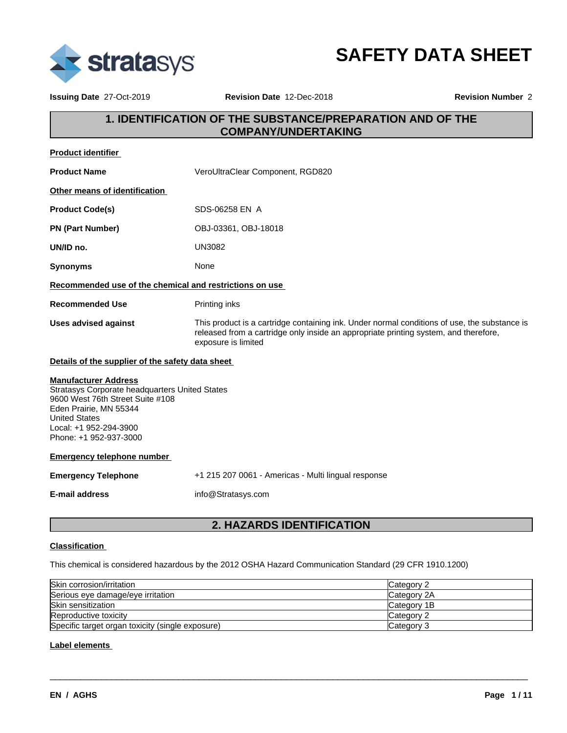

**SAFETY DATA SHEET**

**Issuing Date** 27-Oct-2019 **Revision Date** 12-Dec-2018 **Revision Number** 2

# **1. IDENTIFICATION OF THE SUBSTANCE/PREPARATION AND OF THE COMPANY/UNDERTAKING**

| Product identifier                                                                                                                                                                                                      |                                                                                                                                                                                                             |
|-------------------------------------------------------------------------------------------------------------------------------------------------------------------------------------------------------------------------|-------------------------------------------------------------------------------------------------------------------------------------------------------------------------------------------------------------|
| <b>Product Name</b>                                                                                                                                                                                                     | VeroUltraClear Component, RGD820                                                                                                                                                                            |
| Other means of identification                                                                                                                                                                                           |                                                                                                                                                                                                             |
| <b>Product Code(s)</b>                                                                                                                                                                                                  | SDS-06258 EN A                                                                                                                                                                                              |
| <b>PN (Part Number)</b>                                                                                                                                                                                                 | OBJ-03361, OBJ-18018                                                                                                                                                                                        |
| UN/ID no.                                                                                                                                                                                                               | <b>UN3082</b>                                                                                                                                                                                               |
| <b>Synonyms</b>                                                                                                                                                                                                         | None                                                                                                                                                                                                        |
| Recommended use of the chemical and restrictions on use                                                                                                                                                                 |                                                                                                                                                                                                             |
| <b>Recommended Use</b>                                                                                                                                                                                                  | Printing inks                                                                                                                                                                                               |
| <b>Uses advised against</b>                                                                                                                                                                                             | This product is a cartridge containing ink. Under normal conditions of use, the substance is<br>released from a cartridge only inside an appropriate printing system, and therefore,<br>exposure is limited |
| Details of the supplier of the safety data sheet                                                                                                                                                                        |                                                                                                                                                                                                             |
| <b>Manufacturer Address</b><br>Stratasys Corporate headquarters United States<br>9600 West 76th Street Suite #108<br>Eden Prairie, MN 55344<br><b>United States</b><br>Local: +1 952-294-3900<br>Phone: +1 952-937-3000 |                                                                                                                                                                                                             |
| <b>Emergency telephone number</b>                                                                                                                                                                                       |                                                                                                                                                                                                             |
| <b>Emergency Telephone</b>                                                                                                                                                                                              | +1 215 207 0061 - Americas - Multi lingual response                                                                                                                                                         |
| <b>E-mail address</b>                                                                                                                                                                                                   | info@Stratasys.com                                                                                                                                                                                          |
|                                                                                                                                                                                                                         |                                                                                                                                                                                                             |

# **2. HAZARDS IDENTIFICATION**

## **Classification**

This chemical is considered hazardous by the 2012 OSHA Hazard Communication Standard (29 CFR 1910.1200)

| Skin corrosion/irritation                        | Category 2         |
|--------------------------------------------------|--------------------|
| Serious eye damage/eye irritation                | Category 2A        |
| Skin sensitization                               | Category 1B        |
| Reproductive toxicity                            | <b>ICategory 2</b> |
| Specific target organ toxicity (single exposure) | Category 3         |

 $\overline{\phantom{a}}$  ,  $\overline{\phantom{a}}$  ,  $\overline{\phantom{a}}$  ,  $\overline{\phantom{a}}$  ,  $\overline{\phantom{a}}$  ,  $\overline{\phantom{a}}$  ,  $\overline{\phantom{a}}$  ,  $\overline{\phantom{a}}$  ,  $\overline{\phantom{a}}$  ,  $\overline{\phantom{a}}$  ,  $\overline{\phantom{a}}$  ,  $\overline{\phantom{a}}$  ,  $\overline{\phantom{a}}$  ,  $\overline{\phantom{a}}$  ,  $\overline{\phantom{a}}$  ,  $\overline{\phantom{a}}$ 

### **Label elements**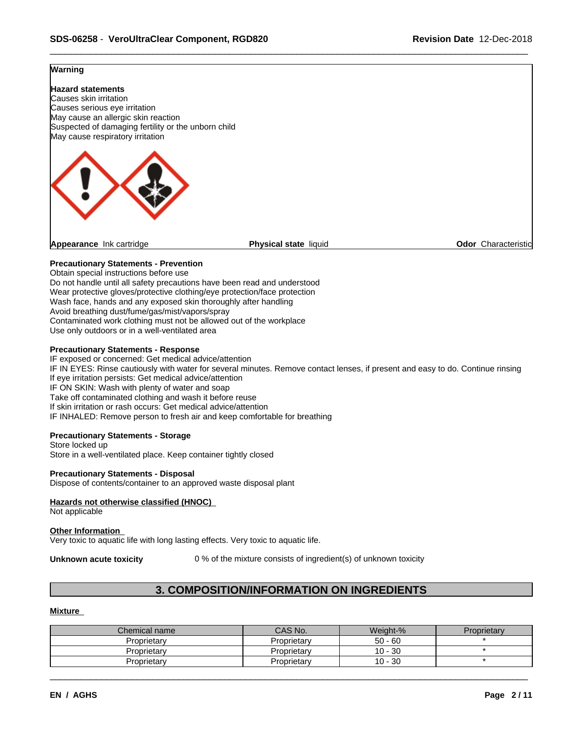## **Warning**



Obtain special instructions before use Do not handle until all safety precautions have been read and understood Wear protective gloves/protective clothing/eye protection/face protection Wash face, hands and any exposed skin thoroughly after handling Avoid breathing dust/fume/gas/mist/vapors/spray Contaminated work clothing must not be allowed out of the workplace Use only outdoors or in a well-ventilated area

### **Precautionary Statements - Response**

IF exposed or concerned: Get medical advice/attention IF IN EYES: Rinse cautiously with water for several minutes. Remove contact lenses, if present and easy to do. Continue rinsing If eye irritation persists: Get medical advice/attention IF ON SKIN: Wash with plenty of water and soap Take off contaminated clothing and wash it before reuse If skin irritation or rash occurs: Get medical advice/attention IF INHALED: Remove person to fresh air and keep comfortable for breathing

### **Precautionary Statements - Storage**

Store locked up Store in a well-ventilated place. Keep container tightly closed

### **Precautionary Statements - Disposal**

Dispose of contents/container to an approved waste disposal plant

### **Hazards not otherwise classified (HNOC)**

Not applicable

### **Other Information**

Very toxic to aquatic life with long lasting effects. Very toxic to aquatic life.

**Unknown acute toxicity** 0 % of the mixture consists of ingredient(s) of unknown toxicity

# **3. COMPOSITION/INFORMATION ON INGREDIENTS**

### **Mixture**

| Chemical name | CAS No.     | Weight-%  | Proprietary |
|---------------|-------------|-----------|-------------|
| Proprietary   | Proprietary | $50 - 60$ |             |
| Proprietary   | Proprietary | $10 - 30$ |             |
| Proprietarv   | Proprietary | $10 - 30$ |             |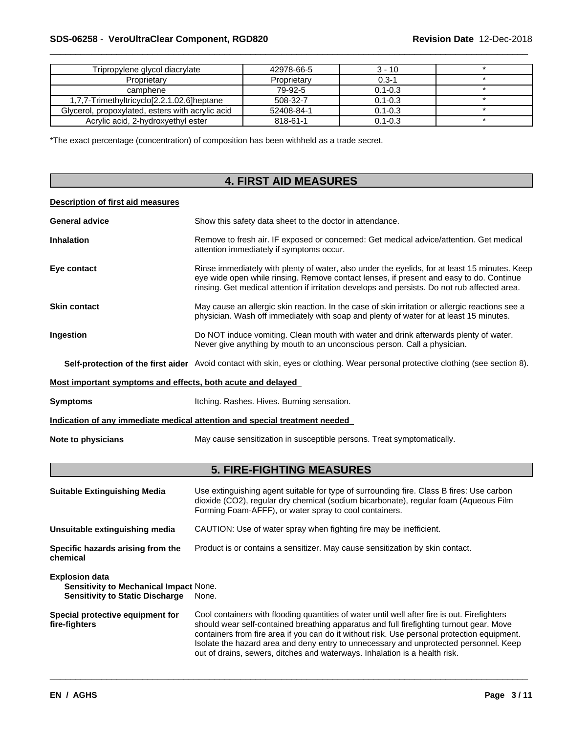## \_\_\_\_\_\_\_\_\_\_\_\_\_\_\_\_\_\_\_\_\_\_\_\_\_\_\_\_\_\_\_\_\_\_\_\_\_\_\_\_\_\_\_\_\_\_\_\_\_\_\_\_\_\_\_\_\_\_\_\_\_\_\_\_\_\_\_\_\_\_\_\_\_\_\_\_\_\_\_\_\_\_\_\_\_\_\_\_\_\_\_\_\_ **SDS-06258** - **VeroUltraClear Component, RGD820 Revision Date** 12-Dec-2018

| Tripropylene glycol diacrylate                   | 42978-66-5  | $3 - 10$    |  |
|--------------------------------------------------|-------------|-------------|--|
| Proprietary                                      | Proprietary | $0.3 - 1$   |  |
| camphene                                         | 79-92-5     | $0.1 - 0.3$ |  |
| 1,7,7-Trimethyltricyclo[2.2.1.02,6]heptane       | 508-32-7    | $0.1 - 0.3$ |  |
| Glycerol, propoxylated, esters with acrylic acid | 52408-84-1  | $0.1 - 0.3$ |  |
| Acrylic acid, 2-hydroxyethyl ester               | 818-61-1    | $0.1 - 0.3$ |  |

\*The exact percentage (concentration) of composition has been withheld as a trade secret.

# **4. FIRST AID MEASURES**

## **Description of first aid measures**

| <b>General advice</b>                                                                                     | Show this safety data sheet to the doctor in attendance.                                                                                                                                                                                                                                  |  |
|-----------------------------------------------------------------------------------------------------------|-------------------------------------------------------------------------------------------------------------------------------------------------------------------------------------------------------------------------------------------------------------------------------------------|--|
| <b>Inhalation</b>                                                                                         | Remove to fresh air. IF exposed or concerned: Get medical advice/attention. Get medical<br>attention immediately if symptoms occur.                                                                                                                                                       |  |
| Eye contact                                                                                               | Rinse immediately with plenty of water, also under the eyelids, for at least 15 minutes. Keep<br>eye wide open while rinsing. Remove contact lenses, if present and easy to do. Continue<br>rinsing. Get medical attention if irritation develops and persists. Do not rub affected area. |  |
| <b>Skin contact</b>                                                                                       | May cause an allergic skin reaction. In the case of skin irritation or allergic reactions see a<br>physician. Wash off immediately with soap and plenty of water for at least 15 minutes.                                                                                                 |  |
| Ingestion                                                                                                 | Do NOT induce vomiting. Clean mouth with water and drink afterwards plenty of water.<br>Never give anything by mouth to an unconscious person. Call a physician.                                                                                                                          |  |
|                                                                                                           | Self-protection of the first aider Avoid contact with skin, eyes or clothing. Wear personal protective clothing (see section 8).                                                                                                                                                          |  |
| Most important symptoms and effects, both acute and delayed                                               |                                                                                                                                                                                                                                                                                           |  |
| <b>Symptoms</b>                                                                                           | Itching. Rashes. Hives. Burning sensation.                                                                                                                                                                                                                                                |  |
|                                                                                                           | Indication of any immediate medical attention and special treatment needed                                                                                                                                                                                                                |  |
| Note to physicians                                                                                        | May cause sensitization in susceptible persons. Treat symptomatically.                                                                                                                                                                                                                    |  |
|                                                                                                           | <b>5. FIRE-FIGHTING MEASURES</b>                                                                                                                                                                                                                                                          |  |
| <b>Suitable Extinguishing Media</b>                                                                       | Use extinguishing agent suitable for type of surrounding fire. Class B fires: Use carbon<br>dioxide (CO2), regular dry chemical (sodium bicarbonate), regular foam (Aqueous Film<br>Forming Foam-AFFF), or water spray to cool containers.                                                |  |
| Unsuitable extinguishing media                                                                            |                                                                                                                                                                                                                                                                                           |  |
|                                                                                                           | CAUTION: Use of water spray when fighting fire may be inefficient.                                                                                                                                                                                                                        |  |
| Specific hazards arising from the<br>chemical                                                             | Product is or contains a sensitizer. May cause sensitization by skin contact.                                                                                                                                                                                                             |  |
| <b>Explosion data</b><br>Sensitivity to Mechanical Impact None.<br><b>Sensitivity to Static Discharge</b> | None.                                                                                                                                                                                                                                                                                     |  |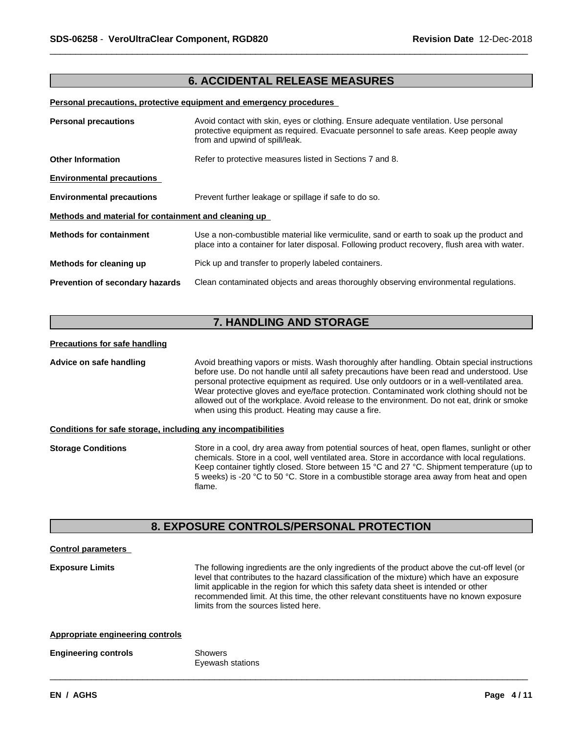## **6. ACCIDENTAL RELEASE MEASURES**

### **Personal precautions, protective equipment and emergency procedures**

| Avoid contact with skin, eyes or clothing. Ensure adequate ventilation. Use personal<br><b>Personal precautions</b><br>protective equipment as required. Evacuate personnel to safe areas. Keep people away<br>from and upwind of spill/leak. |                                                                                                                                                                                            |  |
|-----------------------------------------------------------------------------------------------------------------------------------------------------------------------------------------------------------------------------------------------|--------------------------------------------------------------------------------------------------------------------------------------------------------------------------------------------|--|
| <b>Other Information</b>                                                                                                                                                                                                                      | Refer to protective measures listed in Sections 7 and 8.                                                                                                                                   |  |
| <b>Environmental precautions</b>                                                                                                                                                                                                              |                                                                                                                                                                                            |  |
| <b>Environmental precautions</b>                                                                                                                                                                                                              | Prevent further leakage or spillage if safe to do so.                                                                                                                                      |  |
| Methods and material for containment and cleaning up                                                                                                                                                                                          |                                                                                                                                                                                            |  |
| <b>Methods for containment</b>                                                                                                                                                                                                                | Use a non-combustible material like vermiculite, sand or earth to soak up the product and<br>place into a container for later disposal. Following product recovery, flush area with water. |  |
| Methods for cleaning up                                                                                                                                                                                                                       | Pick up and transfer to properly labeled containers.                                                                                                                                       |  |
| <b>Prevention of secondary hazards</b>                                                                                                                                                                                                        | Clean contaminated objects and areas thoroughly observing environmental regulations.                                                                                                       |  |

# **7. HANDLING AND STORAGE**

#### **Precautions for safe handling**

**Advice on safe handling** Avoid breathing vapors or mists. Wash thoroughly after handling. Obtain special instructions before use. Do not handle until all safety precautions have been read and understood. Use personal protective equipment as required. Use only outdoors or in a well-ventilated area. Wear protective gloves and eye/face protection. Contaminated work clothing should not be allowed out of the workplace. Avoid release to the environment. Do not eat, drink or smoke when using this product. Heating may cause a fire.

### **Conditions for safe storage, including any incompatibilities**

**Storage Conditions** Store in a cool, dry area away from potential sources of heat, open flames, sunlight or other chemicals. Store in a cool, well ventilated area. Store in accordance with local regulations. Keep container tightly closed. Store between 15 °C and 27 °C. Shipment temperature (up to 5 weeks) is -20 °C to 50 °C. Store in a combustible storage area away from heat and open flame.

## **8. EXPOSURE CONTROLS/PERSONAL PROTECTION**

# **Control parameters**

**Exposure Limits** The following ingredients are the only ingredients of the product above the cut-off level (or level that contributes to the hazard classification of the mixture) which have an exposure limit applicable in the region for which this safety data sheet is intended or other recommended limit. At this time, the other relevant constituents have no known exposure limits from the sources listed here.

 $\overline{\phantom{a}}$  ,  $\overline{\phantom{a}}$  ,  $\overline{\phantom{a}}$  ,  $\overline{\phantom{a}}$  ,  $\overline{\phantom{a}}$  ,  $\overline{\phantom{a}}$  ,  $\overline{\phantom{a}}$  ,  $\overline{\phantom{a}}$  ,  $\overline{\phantom{a}}$  ,  $\overline{\phantom{a}}$  ,  $\overline{\phantom{a}}$  ,  $\overline{\phantom{a}}$  ,  $\overline{\phantom{a}}$  ,  $\overline{\phantom{a}}$  ,  $\overline{\phantom{a}}$  ,  $\overline{\phantom{a}}$ 

### **Appropriate engineering controls**

### **Engineering controls** Showers Eyewash stations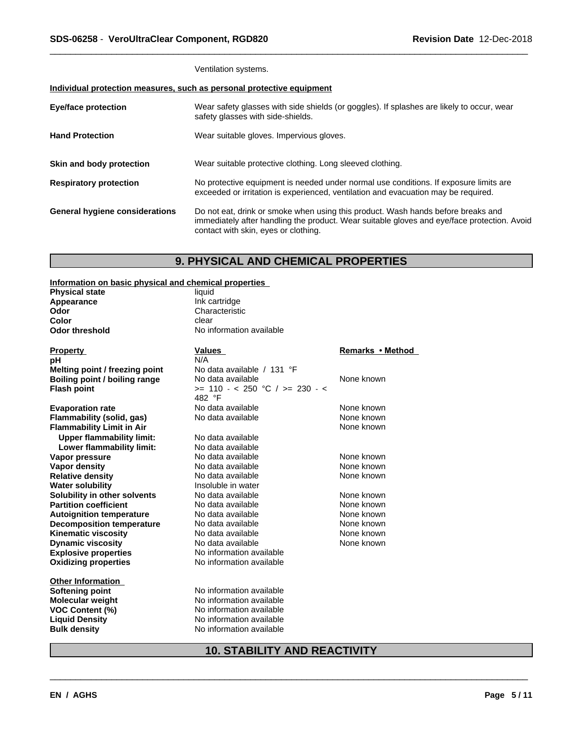Ventilation systems.

## **Individual protection measures, such as personal protective equipment**

| <b>Eye/face protection</b>     | Wear safety glasses with side shields (or goggles). If splashes are likely to occur, wear<br>safety glasses with side-shields.                                                                                          |
|--------------------------------|-------------------------------------------------------------------------------------------------------------------------------------------------------------------------------------------------------------------------|
| <b>Hand Protection</b>         | Wear suitable gloves. Impervious gloves.                                                                                                                                                                                |
| Skin and body protection       | Wear suitable protective clothing. Long sleeved clothing.                                                                                                                                                               |
| <b>Respiratory protection</b>  | No protective equipment is needed under normal use conditions. If exposure limits are<br>exceeded or irritation is experienced, ventilation and evacuation may be required.                                             |
| General hygiene considerations | Do not eat, drink or smoke when using this product. Wash hands before breaks and<br>immediately after handling the product. Wear suitable gloves and eye/face protection. Avoid<br>contact with skin, eyes or clothing. |

# **9. PHYSICAL AND CHEMICAL PROPERTIES**

**Information on basic physical and chemical properties**

| mionialion on basic physical and chemical properties |                                    |                  |
|------------------------------------------------------|------------------------------------|------------------|
| <b>Physical state</b>                                | liquid                             |                  |
| Appearance                                           | Ink cartridge                      |                  |
| Odor                                                 | Characteristic                     |                  |
| Color                                                | clear                              |                  |
| <b>Odor threshold</b>                                | No information available           |                  |
| <b>Property</b>                                      | <b>Values</b>                      | Remarks • Method |
| pH                                                   | N/A                                |                  |
| Melting point / freezing point                       | No data available / 131 °F         |                  |
| Boiling point / boiling range                        | No data available                  | None known       |
| <b>Flash point</b>                                   | $>= 110 - < 250$ °C / $>= 230 - <$ |                  |
|                                                      | 482 °F                             |                  |
| <b>Evaporation rate</b>                              | No data available                  | None known       |
| Flammability (solid, gas)                            | No data available                  | None known       |
| <b>Flammability Limit in Air</b>                     |                                    | None known       |
| <b>Upper flammability limit:</b>                     | No data available                  |                  |
| Lower flammability limit:                            | No data available                  |                  |
| Vapor pressure                                       | No data available                  | None known       |
| <b>Vapor density</b>                                 | No data available                  | None known       |
| <b>Relative density</b>                              | No data available                  | None known       |
| <b>Water solubility</b>                              | Insoluble in water                 |                  |
| Solubility in other solvents                         | No data available                  | None known       |
| <b>Partition coefficient</b>                         | No data available                  | None known       |
| <b>Autoignition temperature</b>                      | No data available                  | None known       |
| <b>Decomposition temperature</b>                     | No data available                  | None known       |
| <b>Kinematic viscosity</b>                           | No data available                  | None known       |
| <b>Dynamic viscosity</b>                             | No data available                  | None known       |
| <b>Explosive properties</b>                          | No information available           |                  |
| <b>Oxidizing properties</b>                          | No information available           |                  |
| <b>Other Information</b>                             |                                    |                  |
| Softening point                                      | No information available           |                  |
| <b>Molecular weight</b>                              | No information available           |                  |
| <b>VOC Content (%)</b>                               | No information available           |                  |
| <b>Liquid Density</b>                                | No information available           |                  |
| <b>Bulk density</b>                                  | No information available           |                  |
|                                                      |                                    |                  |

# **10. STABILITY AND REACTIVITY**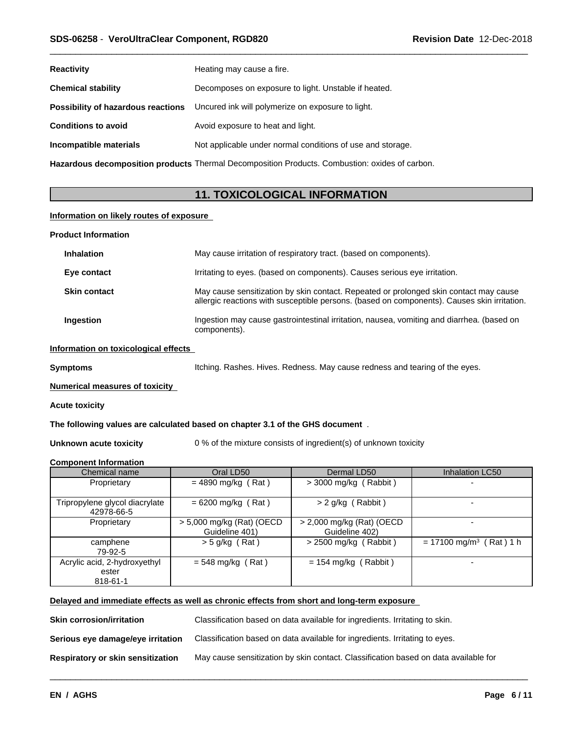| <b>Reactivity</b>                  | Heating may cause a fire.                                                                      |
|------------------------------------|------------------------------------------------------------------------------------------------|
| <b>Chemical stability</b>          | Decomposes on exposure to light. Unstable if heated.                                           |
| Possibility of hazardous reactions | Uncured ink will polymerize on exposure to light.                                              |
| <b>Conditions to avoid</b>         | Avoid exposure to heat and light.                                                              |
| Incompatible materials             | Not applicable under normal conditions of use and storage.                                     |
|                                    | Hazardous decomposition products Thermal Decomposition Products. Combustion: oxides of carbon. |

**11. TOXICOLOGICAL INFORMATION**

### **Information on likely routes of exposure**

| <b>Product Information</b> |                                      |                                                                                                                                                                                      |  |  |
|----------------------------|--------------------------------------|--------------------------------------------------------------------------------------------------------------------------------------------------------------------------------------|--|--|
|                            | <b>Inhalation</b>                    | May cause irritation of respiratory tract. (based on components).                                                                                                                    |  |  |
|                            | Eye contact                          | Irritating to eyes. (based on components). Causes serious eye irritation.                                                                                                            |  |  |
|                            | <b>Skin contact</b>                  | May cause sensitization by skin contact. Repeated or prolonged skin contact may cause<br>allergic reactions with susceptible persons. (based on components). Causes skin irritation. |  |  |
|                            | <b>Ingestion</b>                     | Ingestion may cause gastrointestinal irritation, nausea, vomiting and diarrhea. (based on<br>components).                                                                            |  |  |
|                            | Information on toxicological effects |                                                                                                                                                                                      |  |  |

**Symptoms Itching. Rashes. Hives. Redness. May cause redness and tearing of the eyes.** 

 $\overline{\phantom{a}}$  ,  $\overline{\phantom{a}}$  ,  $\overline{\phantom{a}}$  ,  $\overline{\phantom{a}}$  ,  $\overline{\phantom{a}}$  ,  $\overline{\phantom{a}}$  ,  $\overline{\phantom{a}}$  ,  $\overline{\phantom{a}}$  ,  $\overline{\phantom{a}}$  ,  $\overline{\phantom{a}}$  ,  $\overline{\phantom{a}}$  ,  $\overline{\phantom{a}}$  ,  $\overline{\phantom{a}}$  ,  $\overline{\phantom{a}}$  ,  $\overline{\phantom{a}}$  ,  $\overline{\phantom{a}}$ 

### **Numerical measures of toxicity**

### **Acute toxicity**

**The following values are calculated based on chapter 3.1 of the GHS document** .

**Unknown acute toxicity** 0 % of the mixture consists of ingredient(s) of unknown toxicity

### **Component Information**

| Chemical name                                     | Oral LD50                                   | Dermal LD50                                 | Inhalation LC50                       |
|---------------------------------------------------|---------------------------------------------|---------------------------------------------|---------------------------------------|
| Proprietary                                       | $= 4890$ mg/kg (Rat)                        | $>$ 3000 mg/kg (Rabbit)                     |                                       |
| Tripropylene glycol diacrylate<br>42978-66-5      | $= 6200$ mg/kg (Rat)                        | $> 2$ g/kg (Rabbit)                         |                                       |
| Proprietary                                       | > 5,000 mg/kg (Rat) (OECD<br>Guideline 401) | > 2,000 mg/kg (Rat) (OECD<br>Guideline 402) | -                                     |
| camphene<br>79-92-5                               | $>$ 5 g/kg (Rat)                            | $>$ 2500 mg/kg (Rabbit)                     | $= 17100$ mg/m <sup>3</sup> (Rat) 1 h |
| Acrylic acid, 2-hydroxyethyl<br>ester<br>818-61-1 | $= 548$ mg/kg (Rat)                         | $= 154$ mg/kg (Rabbit)                      |                                       |

## **Delayed and immediate effects as well as chronic effects from short and long-term exposure**

| <b>Skin corrosion/irritation</b>  | Classification based on data available for ingredients. Irritating to skin.         |
|-----------------------------------|-------------------------------------------------------------------------------------|
| Serious eye damage/eye irritation | Classification based on data available for ingredients. Irritating to eyes.         |
| Respiratory or skin sensitization | May cause sensitization by skin contact. Classification based on data available for |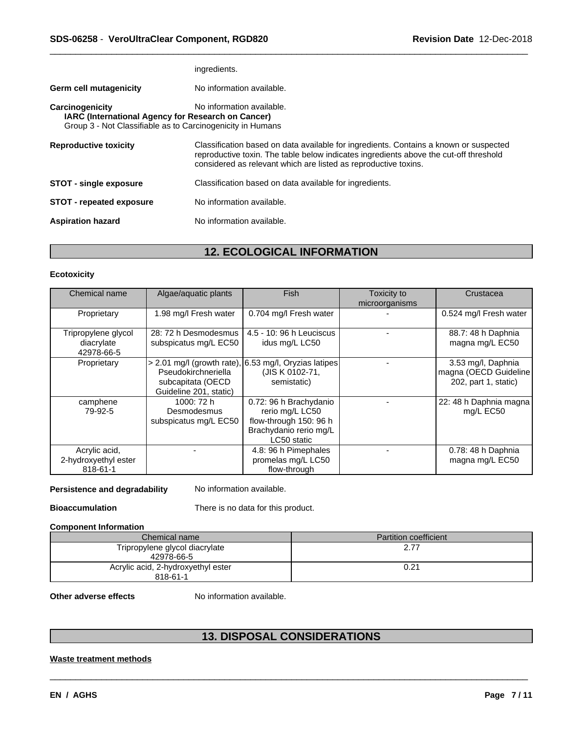|                                                                                                                                     | ingredients.                                                                                                                                                                                                                                      |
|-------------------------------------------------------------------------------------------------------------------------------------|---------------------------------------------------------------------------------------------------------------------------------------------------------------------------------------------------------------------------------------------------|
| <b>Germ cell mutagenicity</b>                                                                                                       | No information available.                                                                                                                                                                                                                         |
| Carcinogenicity<br>IARC (International Agency for Research on Cancer)<br>Group 3 - Not Classifiable as to Carcinogenicity in Humans | No information available.                                                                                                                                                                                                                         |
| <b>Reproductive toxicity</b>                                                                                                        | Classification based on data available for ingredients. Contains a known or suspected<br>reproductive toxin. The table below indicates ingredients above the cut-off threshold<br>considered as relevant which are listed as reproductive toxins. |
| <b>STOT - single exposure</b>                                                                                                       | Classification based on data available for ingredients.                                                                                                                                                                                           |
| <b>STOT</b> - repeated exposure                                                                                                     | No information available.                                                                                                                                                                                                                         |
| <b>Aspiration hazard</b>                                                                                                            | No information available.                                                                                                                                                                                                                         |
|                                                                                                                                     |                                                                                                                                                                                                                                                   |

# **12. ECOLOGICAL INFORMATION**

## **Ecotoxicity**

| Chemical name                                     | Algae/aquatic plants                                               | <b>Fish</b>                                                                                                  | Toxicity to<br>microorganisms | Crustacea                                                           |
|---------------------------------------------------|--------------------------------------------------------------------|--------------------------------------------------------------------------------------------------------------|-------------------------------|---------------------------------------------------------------------|
| Proprietary                                       | 1.98 mg/l Fresh water                                              | 0.704 mg/l Fresh water                                                                                       |                               | 0.524 mg/l Fresh water                                              |
| Tripropylene glycol<br>diacrylate<br>42978-66-5   | 28: 72 h Desmodesmus<br>subspicatus mg/L EC50                      | 4.5 - 10: 96 h Leuciscus<br>idus mg/L LC50                                                                   |                               | 88.7: 48 h Daphnia<br>magna mg/L EC50                               |
| Proprietary                                       | Pseudokirchneriella<br>subcapitata (OECD<br>Guideline 201, static) | $> 2.01$ mg/l (growth rate), 6.53 mg/l, Oryzias latipes<br>(JIS K 0102-71,<br>semistatic)                    |                               | 3.53 mg/l, Daphnia<br>magna (OECD Guideline<br>202, part 1, static) |
| camphene<br>79-92-5                               | 1000: 72 h<br>Desmodesmus<br>subspicatus mg/L EC50                 | 0.72: 96 h Brachydanio<br>rerio mg/L LC50<br>flow-through 150: 96 h<br>Brachydanio rerio mg/L<br>LC50 static |                               | 22: 48 h Daphnia magna<br>mg/L EC50                                 |
| Acrylic acid,<br>2-hydroxyethyl ester<br>818-61-1 |                                                                    | 4.8: 96 h Pimephales<br>promelas mg/L LC50<br>flow-through                                                   |                               | 0.78: 48 h Daphnia<br>magna mg/L EC50                               |

**Persistence and degradability** No information available.

**Bioaccumulation** There is no data for this product.

### **Component Information**

| Chemical name                                  | <b>Partition coefficient</b> |
|------------------------------------------------|------------------------------|
| Tripropylene glycol diacrylate<br>42978-66-5   |                              |
| Acrylic acid, 2-hydroxyethyl ester<br>818-61-1 | 0.21                         |

**Other adverse effects** No information available.

# **13. DISPOSAL CONSIDERATIONS**

 $\overline{\phantom{a}}$  ,  $\overline{\phantom{a}}$  ,  $\overline{\phantom{a}}$  ,  $\overline{\phantom{a}}$  ,  $\overline{\phantom{a}}$  ,  $\overline{\phantom{a}}$  ,  $\overline{\phantom{a}}$  ,  $\overline{\phantom{a}}$  ,  $\overline{\phantom{a}}$  ,  $\overline{\phantom{a}}$  ,  $\overline{\phantom{a}}$  ,  $\overline{\phantom{a}}$  ,  $\overline{\phantom{a}}$  ,  $\overline{\phantom{a}}$  ,  $\overline{\phantom{a}}$  ,  $\overline{\phantom{a}}$ 

## **Waste treatment methods**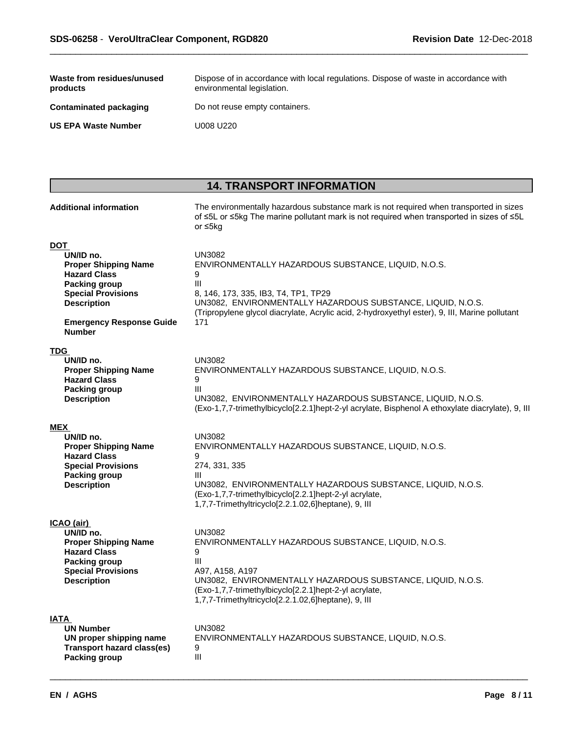| Waste from residues/unused<br>products | Dispose of in accordance with local regulations. Dispose of waste in accordance with<br>environmental legislation. |
|----------------------------------------|--------------------------------------------------------------------------------------------------------------------|
| <b>Contaminated packaging</b>          | Do not reuse empty containers.                                                                                     |
| <b>US EPA Waste Number</b>             | U008 U220                                                                                                          |

# **14. TRANSPORT INFORMATION**

| <b>Additional information</b>                                   | The environmentally hazardous substance mark is not required when transported in sizes<br>of ≤5L or ≤5kg The marine pollutant mark is not required when transported in sizes of ≤5L<br>or ≤5kg |
|-----------------------------------------------------------------|------------------------------------------------------------------------------------------------------------------------------------------------------------------------------------------------|
| DOT<br>UN/ID no.                                                | <b>UN3082</b>                                                                                                                                                                                  |
| <b>Proper Shipping Name</b><br><b>Hazard Class</b>              | ENVIRONMENTALLY HAZARDOUS SUBSTANCE, LIQUID, N.O.S.<br>9                                                                                                                                       |
| <b>Packing group</b><br><b>Special Provisions</b>               | III<br>8, 146, 173, 335, IB3, T4, TP1, TP29                                                                                                                                                    |
| <b>Description</b>                                              | UN3082, ENVIRONMENTALLY HAZARDOUS SUBSTANCE, LIQUID, N.O.S.<br>(Tripropylene glycol diacrylate, Acrylic acid, 2-hydroxyethyl ester), 9, III, Marine pollutant                                  |
| <b>Emergency Response Guide</b><br><b>Number</b>                | 171                                                                                                                                                                                            |
| <b>TDG</b>                                                      |                                                                                                                                                                                                |
| UN/ID no.<br><b>Proper Shipping Name</b><br><b>Hazard Class</b> | UN3082<br>ENVIRONMENTALLY HAZARDOUS SUBSTANCE, LIQUID, N.O.S.<br>9                                                                                                                             |
| Packing group                                                   | Ш<br>UN3082, ENVIRONMENTALLY HAZARDOUS SUBSTANCE, LIQUID, N.O.S.                                                                                                                               |
| <b>Description</b>                                              | (Exo-1,7,7-trimethylbicyclo[2.2.1]hept-2-yl acrylate, Bisphenol A ethoxylate diacrylate), 9, III                                                                                               |
| MEX                                                             |                                                                                                                                                                                                |
| UN/ID no.<br><b>Proper Shipping Name</b>                        | <b>UN3082</b><br>ENVIRONMENTALLY HAZARDOUS SUBSTANCE, LIQUID, N.O.S.                                                                                                                           |
| <b>Hazard Class</b><br><b>Special Provisions</b>                | 9<br>274, 331, 335                                                                                                                                                                             |
| Packing group                                                   | Ш                                                                                                                                                                                              |
| <b>Description</b>                                              | UN3082, ENVIRONMENTALLY HAZARDOUS SUBSTANCE, LIQUID, N.O.S.<br>(Exo-1,7,7-trimethylbicyclo[2.2.1]hept-2-yl acrylate,<br>1,7,7-Trimethyltricyclo[2.2.1.02,6]heptane), 9, III                    |
| ICAO (air)                                                      |                                                                                                                                                                                                |
| UN/ID no.<br><b>Proper Shipping Name</b>                        | <b>UN3082</b><br>ENVIRONMENTALLY HAZARDOUS SUBSTANCE, LIQUID, N.O.S.                                                                                                                           |
| <b>Hazard Class</b>                                             | 9                                                                                                                                                                                              |
| <b>Packing group</b><br><b>Special Provisions</b>               | Ш<br>A97, A158, A197                                                                                                                                                                           |
| <b>Description</b>                                              | UN3082, ENVIRONMENTALLY HAZARDOUS SUBSTANCE, LIQUID, N.O.S.<br>(Exo-1,7,7-trimethylbicyclo[2.2.1]hept-2-yl acrylate,<br>1,7,7-Trimethyltricyclo[2.2.1.02,6]heptane), 9, III                    |
| IATA                                                            |                                                                                                                                                                                                |
| <b>UN Number</b><br>UN proper shipping name                     | UN3082<br>ENVIRONMENTALLY HAZARDOUS SUBSTANCE, LIQUID, N.O.S.                                                                                                                                  |
| <b>Transport hazard class(es)</b><br><b>Packing group</b>       | 9<br>III                                                                                                                                                                                       |
|                                                                 |                                                                                                                                                                                                |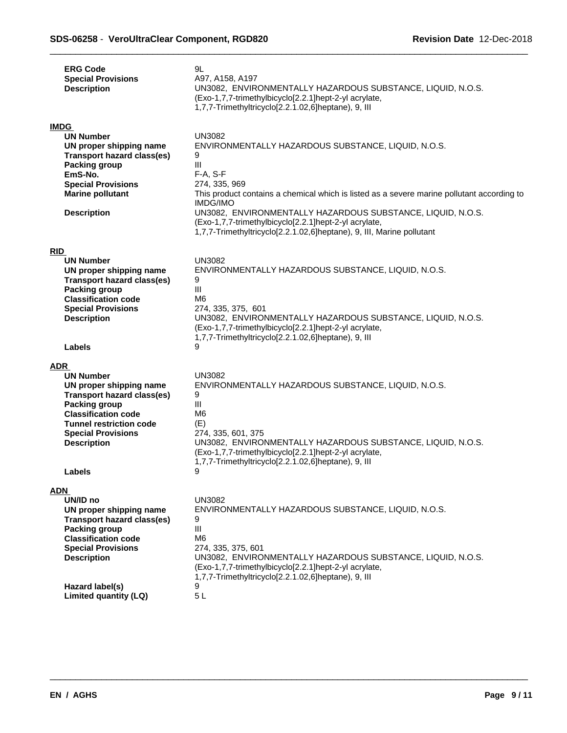|            | <b>ERG Code</b><br><b>Special Provisions</b><br><b>Description</b>                                                                                                                                                   | 9L<br>A97, A158, A197<br>UN3082, ENVIRONMENTALLY HAZARDOUS SUBSTANCE, LIQUID, N.O.S.<br>(Exo-1,7,7-trimethylbicyclo[2.2.1]hept-2-yl acrylate,<br>1,7,7-Trimethyltricyclo[2.2.1.02,6]heptane), 9, III                                                                                                                                                                                                                                       |
|------------|----------------------------------------------------------------------------------------------------------------------------------------------------------------------------------------------------------------------|--------------------------------------------------------------------------------------------------------------------------------------------------------------------------------------------------------------------------------------------------------------------------------------------------------------------------------------------------------------------------------------------------------------------------------------------|
|            | <b>IMDG</b><br><b>UN Number</b><br>UN proper shipping name<br><b>Transport hazard class(es)</b><br><b>Packing group</b><br>EmS-No.<br><b>Special Provisions</b><br><b>Marine pollutant</b><br><b>Description</b>     | <b>UN3082</b><br>ENVIRONMENTALLY HAZARDOUS SUBSTANCE, LIQUID, N.O.S.<br>9<br>$\mathbf{III}$<br>F-A, S-F<br>274, 335, 969<br>This product contains a chemical which is listed as a severe marine pollutant according to<br><b>IMDG/IMO</b><br>UN3082, ENVIRONMENTALLY HAZARDOUS SUBSTANCE, LIQUID, N.O.S.<br>(Exo-1,7,7-trimethylbicyclo[2.2.1]hept-2-yl acrylate,<br>1,7,7-Trimethyltricyclo[2.2.1.02,6]heptane), 9, III, Marine pollutant |
| <b>RID</b> |                                                                                                                                                                                                                      |                                                                                                                                                                                                                                                                                                                                                                                                                                            |
|            | <b>UN Number</b><br>UN proper shipping name<br><b>Transport hazard class(es)</b><br><b>Packing group</b><br><b>Classification code</b><br><b>Special Provisions</b><br><b>Description</b>                            | <b>UN3082</b><br>ENVIRONMENTALLY HAZARDOUS SUBSTANCE, LIQUID, N.O.S.<br>9<br>$\mathbf{III}$<br>M6<br>274, 335, 375, 601<br>UN3082, ENVIRONMENTALLY HAZARDOUS SUBSTANCE, LIQUID, N.O.S.<br>(Exo-1,7,7-trimethylbicyclo[2.2.1]hept-2-yl acrylate,<br>1,7,7-Trimethyltricyclo[2.2.1.02,6]heptane), 9, III                                                                                                                                     |
|            | Labels                                                                                                                                                                                                               | 9                                                                                                                                                                                                                                                                                                                                                                                                                                          |
| ADR        |                                                                                                                                                                                                                      |                                                                                                                                                                                                                                                                                                                                                                                                                                            |
|            | <b>UN Number</b><br>UN proper shipping name<br>Transport hazard class(es)<br><b>Packing group</b><br><b>Classification code</b><br><b>Tunnel restriction code</b><br><b>Special Provisions</b><br><b>Description</b> | <b>UN3082</b><br>ENVIRONMENTALLY HAZARDOUS SUBSTANCE, LIQUID, N.O.S.<br>9<br>$\mathbf{III}$<br>M <sub>6</sub><br>(E)<br>274, 335, 601, 375<br>UN3082, ENVIRONMENTALLY HAZARDOUS SUBSTANCE, LIQUID, N.O.S.<br>(Exo-1,7,7-trimethylbicyclo[2.2.1]hept-2-yl acrylate,<br>1,7,7-Trimethyltricyclo[2.2.1.02,6]heptane), 9, III                                                                                                                  |
|            | Labels                                                                                                                                                                                                               | 9                                                                                                                                                                                                                                                                                                                                                                                                                                          |
| ADN        | UN/ID no<br>UN proper shipping name<br><b>Transport hazard class(es)</b><br>Packing group<br><b>Classification code</b><br><b>Special Provisions</b><br><b>Description</b><br>Hazard label(s)                        | <b>UN3082</b><br>ENVIRONMENTALLY HAZARDOUS SUBSTANCE, LIQUID, N.O.S.<br>9<br>$\ensuremath{\mathsf{III}}\xspace$<br>M <sub>6</sub><br>274, 335, 375, 601<br>UN3082, ENVIRONMENTALLY HAZARDOUS SUBSTANCE, LIQUID, N.O.S.<br>(Exo-1,7,7-trimethylbicyclo[2.2.1]hept-2-yl acrylate,<br>1,7,7-Trimethyltricyclo[2.2.1.02,6]heptane), 9, III<br>9                                                                                                |
|            | Limited quantity (LQ)                                                                                                                                                                                                | 5L                                                                                                                                                                                                                                                                                                                                                                                                                                         |
|            |                                                                                                                                                                                                                      |                                                                                                                                                                                                                                                                                                                                                                                                                                            |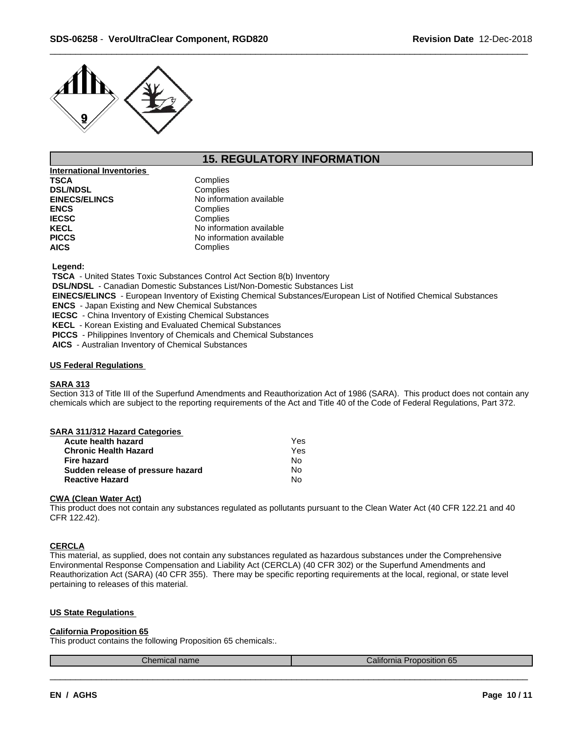

# **15. REGULATORY INFORMATION**

**International Inventories TSCA** Complies<br> **DSL/NDSL** Complies **DSL/NDSL EINECS/ELINCS** No information available<br> **ENCS** Complies ENCS<br> **IECSC**<br>
Complies **IECSC**<br> **IECSC**<br> **IECEL**<br> **IECEL**<br> **IECEL No information available PICCS** No information available **AICS** Complies

 **Legend:**

 **TSCA** - United States Toxic Substances Control Act Section 8(b) Inventory

 **DSL/NDSL** - Canadian Domestic Substances List/Non-Domestic Substances List

 **EINECS/ELINCS** - European Inventory of Existing Chemical Substances/European List of Notified Chemical Substances

 **ENCS** - Japan Existing and New Chemical Substances

 **IECSC** - China Inventory of Existing Chemical Substances

 **KECL** - Korean Existing and Evaluated Chemical Substances

 **PICCS** - Philippines Inventory of Chemicals and Chemical Substances

 **AICS** - Australian Inventory of Chemical Substances

### **US Federal Regulations**

## **SARA 313**

Section 313 of Title III of the Superfund Amendments and Reauthorization Act of 1986 (SARA). This product does not contain any chemicals which are subject to the reporting requirements of the Act and Title 40 of the Code of Federal Regulations, Part 372.

| SARA 311/312 Hazard Categories |  |
|--------------------------------|--|
|--------------------------------|--|

| Acute health hazard               | Yes |  |
|-----------------------------------|-----|--|
| <b>Chronic Health Hazard</b>      | Yes |  |
| <b>Fire hazard</b>                | N٥  |  |
| Sudden release of pressure hazard | No  |  |
| <b>Reactive Hazard</b>            | No  |  |

## **CWA (Clean WaterAct)**

This product does not contain any substances regulated as pollutants pursuant to the Clean Water Act (40 CFR 122.21 and 40 CFR 122.42).

### **CERCLA**

This material, as supplied, does not contain any substances regulated as hazardous substances under the Comprehensive Environmental Response Compensation and Liability Act (CERCLA) (40 CFR 302) or the Superfund Amendments and Reauthorization Act (SARA) (40 CFR 355). There may be specific reporting requirements at the local, regional, or state level pertaining to releases of this material.

### **US State Regulations**

### **California Proposition 65**

This product contains the following Proposition 65 chemicals:.

| name | $\sim$<br>וווכ<br>co nom<br>a He |
|------|----------------------------------|
|      |                                  |